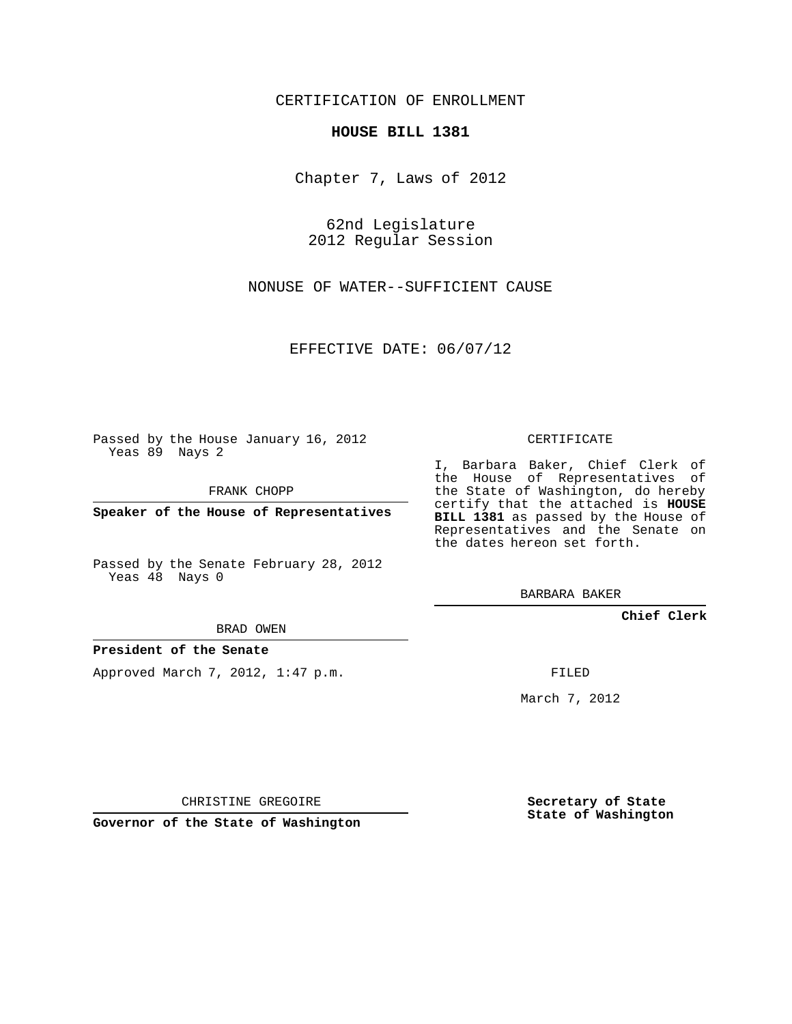### CERTIFICATION OF ENROLLMENT

#### **HOUSE BILL 1381**

Chapter 7, Laws of 2012

62nd Legislature 2012 Regular Session

NONUSE OF WATER--SUFFICIENT CAUSE

EFFECTIVE DATE: 06/07/12

Passed by the House January 16, 2012 Yeas 89 Nays 2

FRANK CHOPP

**Speaker of the House of Representatives**

Passed by the Senate February 28, 2012 Yeas 48 Nays 0

BRAD OWEN

#### **President of the Senate**

Approved March 7, 2012, 1:47 p.m.

CERTIFICATE

I, Barbara Baker, Chief Clerk of the House of Representatives of the State of Washington, do hereby certify that the attached is **HOUSE BILL 1381** as passed by the House of Representatives and the Senate on the dates hereon set forth.

BARBARA BAKER

**Chief Clerk**

FILED

March 7, 2012

CHRISTINE GREGOIRE

**Governor of the State of Washington**

**Secretary of State State of Washington**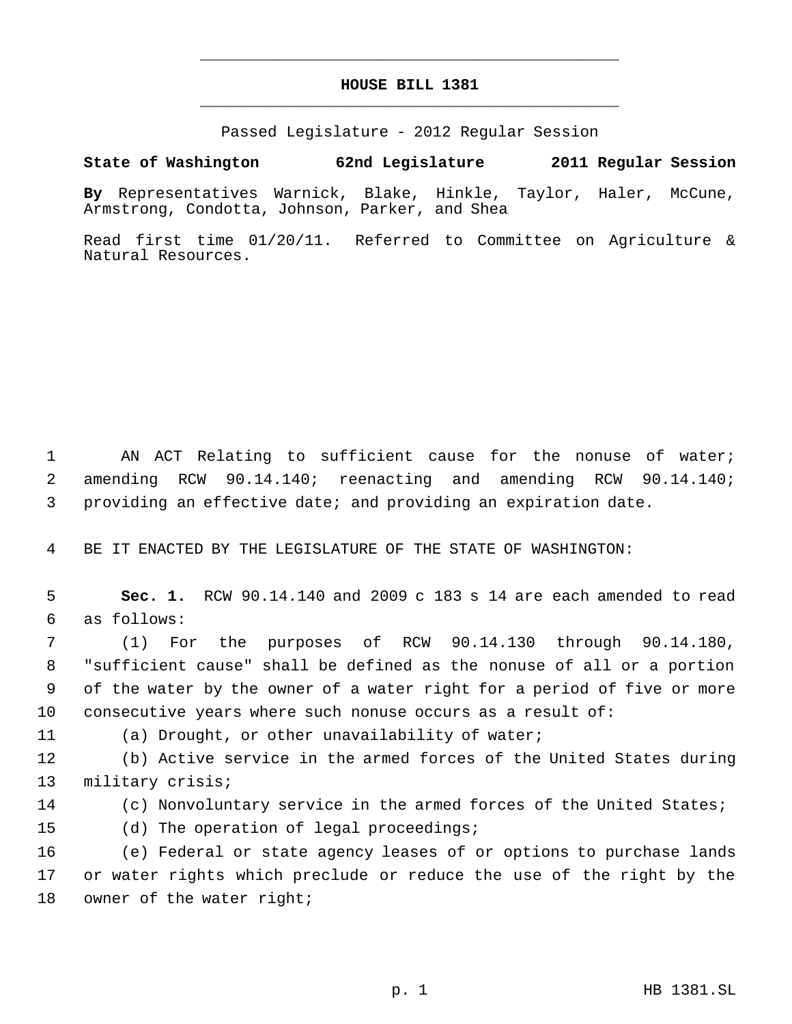# **HOUSE BILL 1381** \_\_\_\_\_\_\_\_\_\_\_\_\_\_\_\_\_\_\_\_\_\_\_\_\_\_\_\_\_\_\_\_\_\_\_\_\_\_\_\_\_\_\_\_\_

\_\_\_\_\_\_\_\_\_\_\_\_\_\_\_\_\_\_\_\_\_\_\_\_\_\_\_\_\_\_\_\_\_\_\_\_\_\_\_\_\_\_\_\_\_

Passed Legislature - 2012 Regular Session

## **State of Washington 62nd Legislature 2011 Regular Session**

**By** Representatives Warnick, Blake, Hinkle, Taylor, Haler, McCune, Armstrong, Condotta, Johnson, Parker, and Shea

Read first time 01/20/11. Referred to Committee on Agriculture & Natural Resources.

1 AN ACT Relating to sufficient cause for the nonuse of water; 2 amending RCW 90.14.140; reenacting and amending RCW 90.14.140; 3 providing an effective date; and providing an expiration date.

4 BE IT ENACTED BY THE LEGISLATURE OF THE STATE OF WASHINGTON:

 5 **Sec. 1.** RCW 90.14.140 and 2009 c 183 s 14 are each amended to read 6 as follows:

 (1) For the purposes of RCW 90.14.130 through 90.14.180, "sufficient cause" shall be defined as the nonuse of all or a portion of the water by the owner of a water right for a period of five or more consecutive years where such nonuse occurs as a result of:

11 (a) Drought, or other unavailability of water;

12 (b) Active service in the armed forces of the United States during 13 military crisis;

14 (c) Nonvoluntary service in the armed forces of the United States;

15 (d) The operation of legal proceedings;

16 (e) Federal or state agency leases of or options to purchase lands 17 or water rights which preclude or reduce the use of the right by the 18 owner of the water right;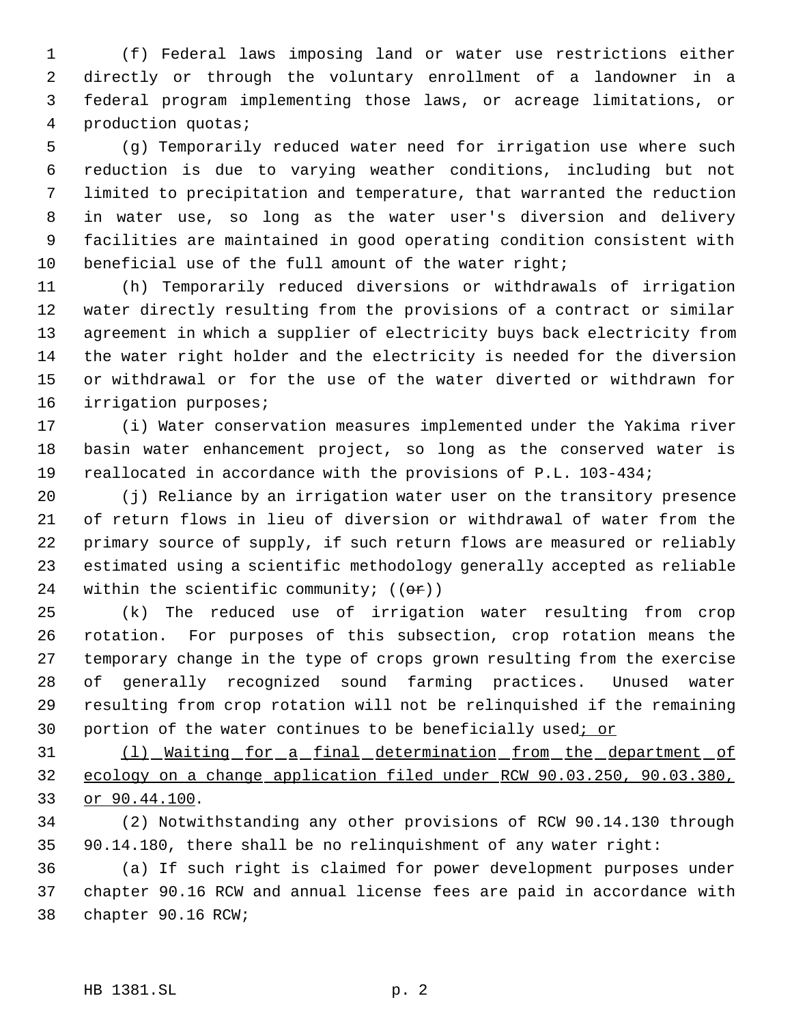(f) Federal laws imposing land or water use restrictions either directly or through the voluntary enrollment of a landowner in a federal program implementing those laws, or acreage limitations, or production quotas;

 (g) Temporarily reduced water need for irrigation use where such reduction is due to varying weather conditions, including but not limited to precipitation and temperature, that warranted the reduction in water use, so long as the water user's diversion and delivery facilities are maintained in good operating condition consistent with beneficial use of the full amount of the water right;

 (h) Temporarily reduced diversions or withdrawals of irrigation water directly resulting from the provisions of a contract or similar agreement in which a supplier of electricity buys back electricity from the water right holder and the electricity is needed for the diversion or withdrawal or for the use of the water diverted or withdrawn for irrigation purposes;

 (i) Water conservation measures implemented under the Yakima river basin water enhancement project, so long as the conserved water is reallocated in accordance with the provisions of P.L. 103-434;

 (j) Reliance by an irrigation water user on the transitory presence of return flows in lieu of diversion or withdrawal of water from the primary source of supply, if such return flows are measured or reliably estimated using a scientific methodology generally accepted as reliable 24 within the scientific community;  $((\theta \cdot \mathbf{r}))$ 

 (k) The reduced use of irrigation water resulting from crop rotation. For purposes of this subsection, crop rotation means the temporary change in the type of crops grown resulting from the exercise of generally recognized sound farming practices. Unused water resulting from crop rotation will not be relinquished if the remaining 30 portion of the water continues to be beneficially used; or

 (l) Waiting for a final determination from the department of ecology on a change application filed under RCW 90.03.250, 90.03.380, or 90.44.100.

 (2) Notwithstanding any other provisions of RCW 90.14.130 through 90.14.180, there shall be no relinquishment of any water right:

 (a) If such right is claimed for power development purposes under chapter 90.16 RCW and annual license fees are paid in accordance with chapter 90.16 RCW;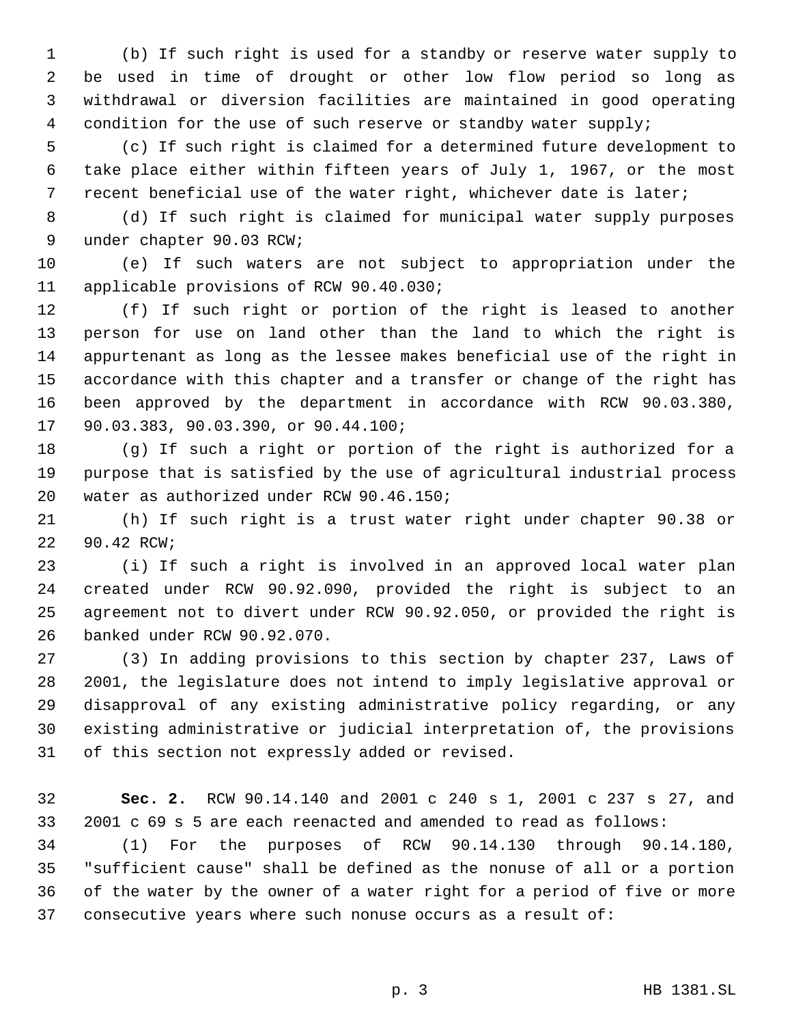(b) If such right is used for a standby or reserve water supply to be used in time of drought or other low flow period so long as withdrawal or diversion facilities are maintained in good operating condition for the use of such reserve or standby water supply;

 (c) If such right is claimed for a determined future development to take place either within fifteen years of July 1, 1967, or the most 7 recent beneficial use of the water right, whichever date is later;

 (d) If such right is claimed for municipal water supply purposes under chapter 90.03 RCW;

 (e) If such waters are not subject to appropriation under the applicable provisions of RCW 90.40.030;

 (f) If such right or portion of the right is leased to another person for use on land other than the land to which the right is appurtenant as long as the lessee makes beneficial use of the right in accordance with this chapter and a transfer or change of the right has been approved by the department in accordance with RCW 90.03.380, 90.03.383, 90.03.390, or 90.44.100;

 (g) If such a right or portion of the right is authorized for a purpose that is satisfied by the use of agricultural industrial process water as authorized under RCW 90.46.150;

 (h) If such right is a trust water right under chapter 90.38 or 90.42 RCW;

 (i) If such a right is involved in an approved local water plan created under RCW 90.92.090, provided the right is subject to an agreement not to divert under RCW 90.92.050, or provided the right is banked under RCW 90.92.070.

 (3) In adding provisions to this section by chapter 237, Laws of 2001, the legislature does not intend to imply legislative approval or disapproval of any existing administrative policy regarding, or any existing administrative or judicial interpretation of, the provisions of this section not expressly added or revised.

 **Sec. 2.** RCW 90.14.140 and 2001 c 240 s 1, 2001 c 237 s 27, and 2001 c 69 s 5 are each reenacted and amended to read as follows:

 (1) For the purposes of RCW 90.14.130 through 90.14.180, "sufficient cause" shall be defined as the nonuse of all or a portion of the water by the owner of a water right for a period of five or more consecutive years where such nonuse occurs as a result of: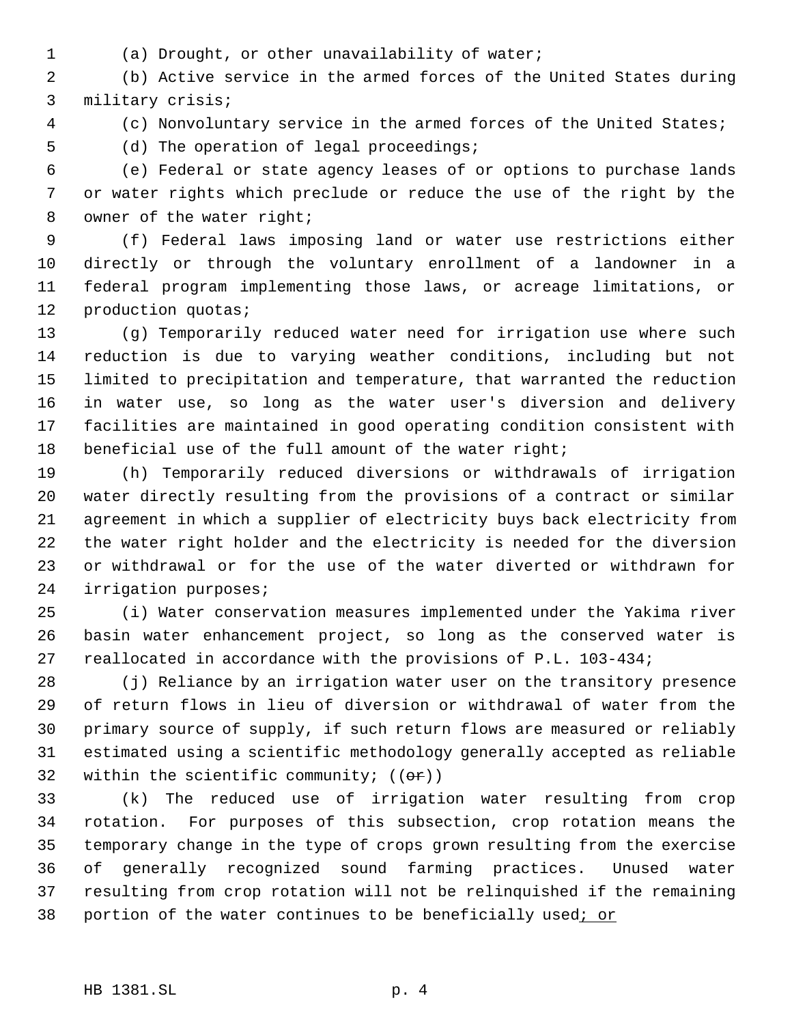- 
- (a) Drought, or other unavailability of water;

 (b) Active service in the armed forces of the United States during military crisis;

(c) Nonvoluntary service in the armed forces of the United States;

(d) The operation of legal proceedings;

 (e) Federal or state agency leases of or options to purchase lands or water rights which preclude or reduce the use of the right by the 8 owner of the water right;

 (f) Federal laws imposing land or water use restrictions either directly or through the voluntary enrollment of a landowner in a federal program implementing those laws, or acreage limitations, or production quotas;

 (g) Temporarily reduced water need for irrigation use where such reduction is due to varying weather conditions, including but not limited to precipitation and temperature, that warranted the reduction in water use, so long as the water user's diversion and delivery facilities are maintained in good operating condition consistent with beneficial use of the full amount of the water right;

 (h) Temporarily reduced diversions or withdrawals of irrigation water directly resulting from the provisions of a contract or similar agreement in which a supplier of electricity buys back electricity from the water right holder and the electricity is needed for the diversion or withdrawal or for the use of the water diverted or withdrawn for irrigation purposes;

 (i) Water conservation measures implemented under the Yakima river basin water enhancement project, so long as the conserved water is reallocated in accordance with the provisions of P.L. 103-434;

 (j) Reliance by an irrigation water user on the transitory presence of return flows in lieu of diversion or withdrawal of water from the primary source of supply, if such return flows are measured or reliably estimated using a scientific methodology generally accepted as reliable 32 within the scientific community;  $((\theta \cdot \hat{r}))$ 

 (k) The reduced use of irrigation water resulting from crop rotation. For purposes of this subsection, crop rotation means the temporary change in the type of crops grown resulting from the exercise of generally recognized sound farming practices. Unused water resulting from crop rotation will not be relinquished if the remaining 38 portion of the water continues to be beneficially used; or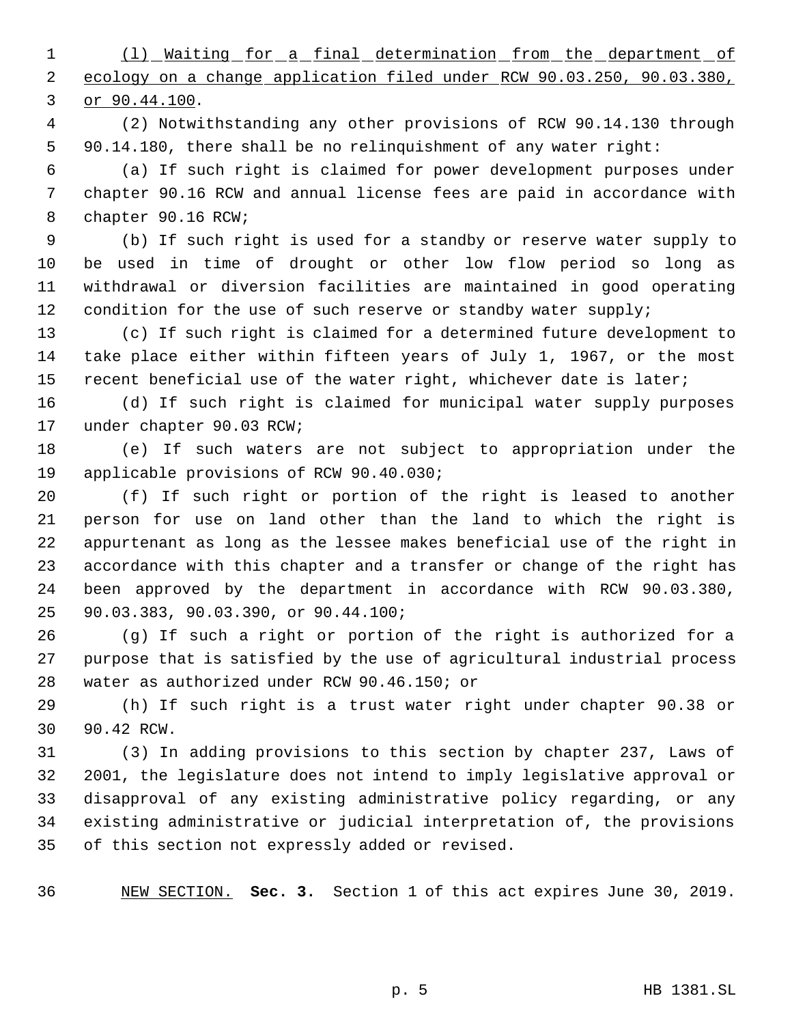1 (1) Waiting for a final determination from the department of ecology on a change application filed under RCW 90.03.250, 90.03.380, or 90.44.100.

 (2) Notwithstanding any other provisions of RCW 90.14.130 through 90.14.180, there shall be no relinquishment of any water right:

 (a) If such right is claimed for power development purposes under chapter 90.16 RCW and annual license fees are paid in accordance with chapter 90.16 RCW;

 (b) If such right is used for a standby or reserve water supply to be used in time of drought or other low flow period so long as withdrawal or diversion facilities are maintained in good operating 12 condition for the use of such reserve or standby water supply;

 (c) If such right is claimed for a determined future development to take place either within fifteen years of July 1, 1967, or the most 15 recent beneficial use of the water right, whichever date is later;

 (d) If such right is claimed for municipal water supply purposes under chapter 90.03 RCW;

 (e) If such waters are not subject to appropriation under the applicable provisions of RCW 90.40.030;

 (f) If such right or portion of the right is leased to another person for use on land other than the land to which the right is appurtenant as long as the lessee makes beneficial use of the right in accordance with this chapter and a transfer or change of the right has been approved by the department in accordance with RCW 90.03.380, 90.03.383, 90.03.390, or 90.44.100;

 (g) If such a right or portion of the right is authorized for a purpose that is satisfied by the use of agricultural industrial process water as authorized under RCW 90.46.150; or

 (h) If such right is a trust water right under chapter 90.38 or 90.42 RCW.

 (3) In adding provisions to this section by chapter 237, Laws of 2001, the legislature does not intend to imply legislative approval or disapproval of any existing administrative policy regarding, or any existing administrative or judicial interpretation of, the provisions of this section not expressly added or revised.

NEW SECTION. **Sec. 3.** Section 1 of this act expires June 30, 2019.